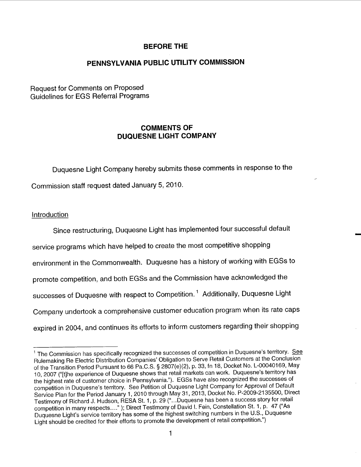# BEFORE THE

...

# PENNSYLVANIA PUBLIC UTILITY COMMISSION

Request for Comments on Proposed Guidelines for EGS Referral Programs

# COMMENTS OF DUQUESNE LIGHT COMPANY

Duquesne Light Company hereby submits these comments in response to the Commission staff request dated January 5, 2010.

#### Introduction

Since restructuring, Duquesne Light has implemented four successful default service programs which have helped to create the most competitive shopping environment in the Commonwealth. Duquesne has a history of working with EGSs to promote competition, and both EGSs and the Commission have acknowledged the successes of Duquesne with respect to Competition.<sup>1</sup> Additionally, Duquesne Light Company undertook a comprehensive customer education program when its rate caps expired in 2004, and continues its efforts to inform customers regarding their shopping

 $1$  The Commission has specifically recognized the successes of competition in Duquesne's territory. See Rulemaking Re Electric Distribution Companies' Obligation to Serve Retail Customers at the Conclusion of the Transition Period Pursuant to 66 Pa.C.S. § 2807(e)(2), p. 33, fn 18, Docket No. L-00040169, May 10, 2007 ("[t]he experience of Duquesne shows that retail markets can work. Duquesne's territory has the highest rate of customer choice in Pennsylvania. ). EGSs have also recognized the successes of competition in Duquesne's territory. See Petition of Duquesne Light Company for Approval of Default Service Plan for the Period January 1, 2010 through May 31, 2013, Docket No. P-2009-2135500, Direct Testimony of Richard J. Hudson, RESA St. 1 , p. 29 (" Duquesne has been a success story for retail competition in many respects...." ); Direct Testimony of David I. Fein, Constellation St. 1, p. 47 ("As Duquesne Light's service territory has some of the highest switching numbers in the U.S., Duquesne Light should be credited for their efforts to promote the development of retail competition.")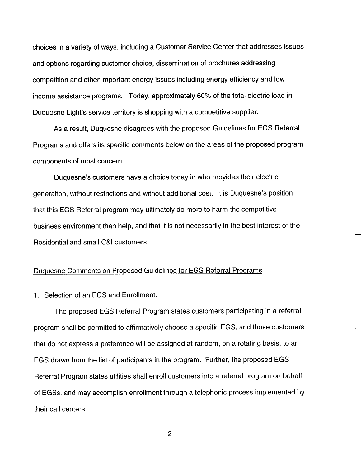choices in a variety of ways, including a Customer Service Center that addresses issues and options regarding customer choice, dissemination of brochures addressing competition and other important energy issues including energy efficiency and low income assistance programs. Today, approximately 60% of the total electric load in Duquesne Light's service territory is shopping with a competitive supplier.

As a result, Duquesne disagrees with the proposed Guidelines for EGS Referral Programs and offers its specific comments below on the areas of the proposed program components of most concern.

Duquesne's customers have a choice today in who provides their electric generation, without restrictions and without additional cost. It is Duquesne's position that this EGS Referral program may ultimately do more to harm the competitive business environment than help, and that it is not necessarily in the best interest of the Residential and small C&I customers.

#### Duquesne Comments on Proposed Guidelines for EGS Referral Proqrams

1. Selection of an EGS and Enrollment.

The proposed EGS Referral Program states customers participating in a referral program shall be permitted to affirmatively choose a specific EGS, and those customers that do not express a preference will be assigned at random, on a rotating basis, to an EGS drawn from the list of participants in the program. Further, the proposed EGS Referral Program states utilities shall enroll customers into a referral program on behalf of EGSs, and may accomplish enrollment through a telephonic process implemented by their call centers.

 $\overline{2}$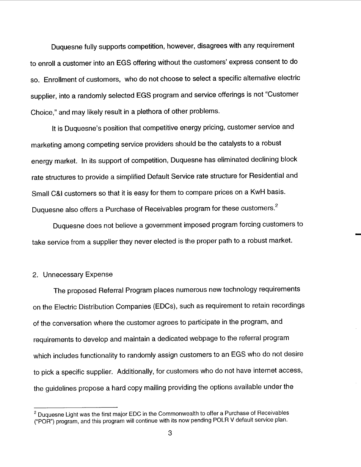Duquesne fully supports competition, however, disagrees with any requirement to enroll a customer into an EGS offering without the customers' express consent to do so. Enrollment of customers, who do not choose to select a specific alternative electric supplier, into a randomly selected EGS program and service offerings is not "Customer Choice," and may likely result in a plethora of other problems.

It is Duquesne's position that competitive energy pricing, customer service and marketing among competing service providers should be the catalysts to a robust energy market. In its support of competition, Duquesne has eliminated declining block rate structures to provide a simplified Default Service rate structure for Residential and Small C&I customers so that it is easy for them to compare prices on a KwH basis. Duquesne also offers a Purchase of Receivables program for these customers.

Duquesne does not believe a government imposed program forcing customers to take service from a supplier they never elected is the proper path to a robust market.

#### 2. Unnecessary Expense

The proposed Referral Program places numerous new technology requirements on the Electric Distribution Companies (EDCs), such as requirement to retain recordings of the conversation where the customer agrees to participate in the program, and requirements to develop and maintain a dedicated webpage to the referral program which includes functionality to randomly assign customers to an EGS who do not desire to pick a specific supplier. Additionally, for customers who do not have internet access the guidelines propose a hard copy mailing providing the options available under the

<sup>&</sup>lt;sup>2</sup> Duquesne Light was the first major EDC in the Commonwealth to offer a Purchase of Receivables POR") program, and this program will continue with its now pending POLR V default service plan.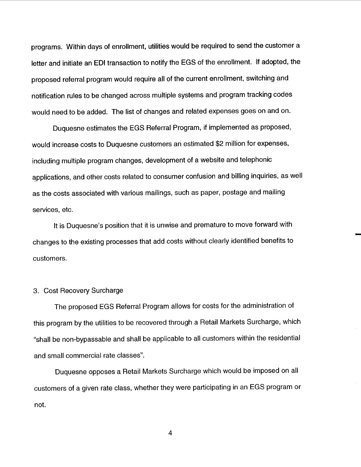programs. Within days of enrollment, utilities would be required to send the customer a letter and initiate an EDI transaction to notify the EGS of the enrollment. If adopted, the proposed referral program would require all of the current enrollment, switching and notification rules to be changed across multiple systems and program tracking codes would need to be added. The list of changes and related expenses goes on and on.

Duquesne estimates the EGS Referral Program, if implemented as proposed would increase costs to Duquesne customers an estimated \$2 million for expenses including multiple program changes, development of a website and telephonic applications, and other costs related to consumer confusion and billing inquiries, as well as the costs associated with various mailings, such as paper, postage and mailing services, etc.

It is Duquesne's position that it is unwise and premature to move forward with changes to the existing processes that add costs without clearly identified benefits to customers.

### 3. Cost Recovery Surcharge

The proposed EGS Referral Program allows for costs for the administration of this program by the utilities to be recovered through a Retail Markets Surcharge, which shall be non-bypassable and shall be applicable to all customers within the residential and small commercial rate classes

Duquesne opposes a Retail Markets Surcharge which would be imposed on all customers of a given rate class, whether they were participating in an EGS program or not.

 $\overline{4}$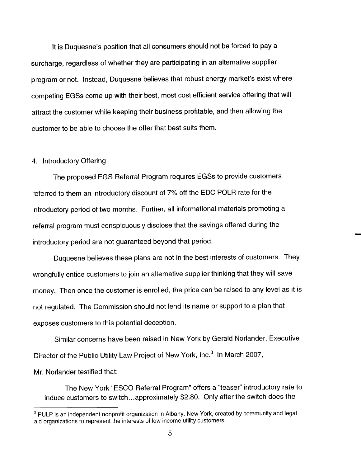It is Duquesne's position that all consumers should not be forced to pay a surcharge, regardless of whether they are participating in an alternative supplier program or not. Instead, Duquesne believes that robust energy market's exist where competing EGSs come up with their best, most cost efficient service offering that will attract the customer while keeping their business profitable, and then allowing the customer to be able to choose the offer that best suits them.

### 4. Introductory Offering

The proposed EGS Referral Program requires EGSs to provide customers referred to them an introductory discount of 7% off the EDC POLR rate for the introductory period of two months. Further, all informational materials promoting a referral program must conspicuously disclose that the savings offered during the introductory period are not guaranteed beyond that period.

Duquesne believes these plans are not in the best interests of customers. They wrongfully entice customers to join an alternative supplier thinking that they will save money. Then once the customer is enrolled, the price can be raised to any level as it is not regulated. The Commission should not lend its name or support to a plan that exposes customers to this potential deception.

Similar concerns have been raised in New York by Gerald Norlander, Executive Director of the Public Utility Law Project of New York, Inc.<sup>3</sup> In March 2007,

Mr. Norlander testified that:

The New York "ESCO Referral Program" offers a "teaser" introductory rate to induce customers to switch.. . approximately \$2.80. Only after the switch does the

<sup>&</sup>lt;sup>3</sup> PULP is an independent nonprofit organization in Albany, New York, created by community and legal aid organizations to represent the interests of low income utility customers.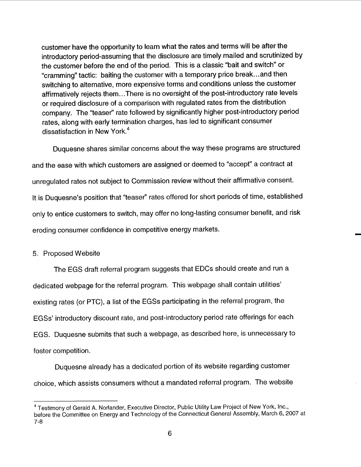customer have the opportunity to learn what the rates and terms will be after the introductory period-assuming that the disclosure are timely mailed and scrutinized by the customer before the end of the period. This is a classic "bait and switch" or cramming" tactic: baiting the customer with a temporary price break.. . and then switching to alternative, more expensive terms and conditions unless the customer affirmatively rejects them...There is no oversight of the post-introductory rate levels or required disclosure of a comparison with regulated rates from the distribution company. The "teaser" rate followed by significantly higher post-introductory period rates, along with early termination charges, has led to significant consumer dissatisfaction in New York.<sup>4</sup>

Duquesne shares similar concerns about the way these programs are structured and the ease with which customers are assigned or deemed to "accept" a contract at unregulated rates not subject to Commission review without their affirmative consent. It is Duquesne's position that "teaser" rates offered for short periods of time, established only to entice customers to switch, may offer no long-lasting consumer benefit, and risk eroding consumer confidence in competitive energy markets.

## 5. Proposed Website

The EGS draft referral program suggests that EDCs should create and run a dedicated webpage for the referral program. This webpage shall contain utilities existing rates (or PTC), a list of the EGSs participating in the referral program, the EGSs' introductory discount rate, and post-introductory period rate offerings for each EGS. Duquesne submits that such a webpage, as described here, is unnecessary to foster competition.

Duquesne already has a dedicated portion of its website regarding customer choice, which assists consumers without a mandated referral program. The website

<sup>&</sup>lt;sup>4</sup> Testimony of Gerald A. Norlander, Executive Director, Public Utility Law Project of New York, Inc., before the Committee on Energy and Technology of the Connecticut General Assembly, March 6, 2007 at $7 - 8$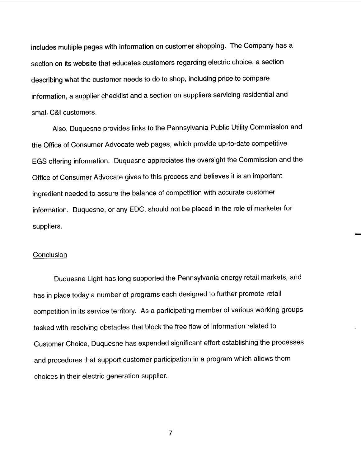includes multiple pages with information on customer shopping. The Company has a section on its website that educates customers regarding electric choice, a section describing what the customer needs to do to shop, including price to compare information, a supplier checklist and a section on suppliers servicing residential and small C&I customers.

Also, Duquesne provides links to the Pennsylvania Public Utility Commission and the Office of Consumer Advocate web pages, which provide up-to-date competitive EGS offering information. Duquesne appreciates the oversight the Commission and the Office of Consumer Advocate gives to this process and believes it is an important ingredient needed to assure the balance of competition with accurate customer information. Duquesne, or any EDC, should not be placed in the role of marketer for suppliers.

## **Conclusion**

Duquesne Light has long supported the Pennsylvania energy retail markets, and has in place today a number of programs each designed to further promote retail competition in its service territory. As a participating member of various working groups tasked with resolving obstacles that block the free flow of information related to Customer Choice, Duquesne has expended significant effort establishing the processes and procedures that support customer participation in a program which allows them choices in their electric generation supplier.

 $\overline{7}$